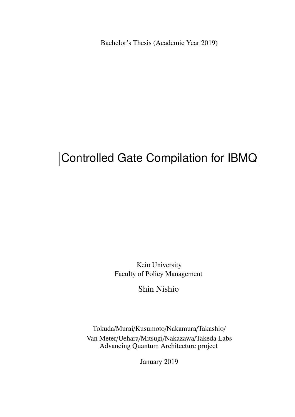Bachelor's Thesis (Academic Year 2019)

# Controlled Gate Compilation for IBMQ

Keio University Faculty of Policy Management

Shin Nishio

Tokuda/Murai/Kusumoto/Nakamura/Takashio/ Van Meter/Uehara/Mitsugi/Nakazawa/Takeda Labs Advancing Quantum Architecture project

January 2019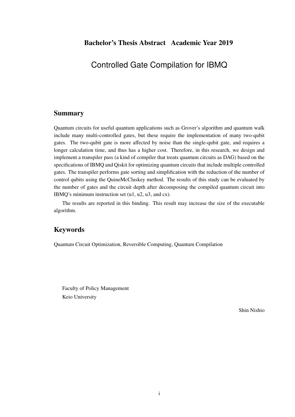Controlled Gate Compilation for IBMQ

### Summary

Quantum circuits for useful quantum applications such as Grover's algorithm and quantum walk include many multi-controlled gates, but these require the implementation of many two-qubit gates. The two-qubit gate is more affected by noise than the single-qubit gate, and requires a longer calculation time, and thus has a higher cost. Therefore, in this research, we design and implement a transpiler pass (a kind of compiler that treats quantum circuits as DAG) based on the specifications of IBMQ and Qiskit for optimizing quantum circuits that include multiple controlled gates. The transpiler performs gate sorting and simplification with the reduction of the number of control qubits using the QuineMcCluskey method. The results of this study can be evaluated by the number of gates and the circuit depth after decomposing the compiled quantum circuit into IBMQ's minimum instruction set (u1, u2, u3, and cx).

The results are reported in this binding. This result may increase the size of the executable algorithm.

## Keywords

Quantum Circuit Optimization, Reversible Computing, Quantum Compilation

Faculty of Policy Management Keio University

Shin Nishio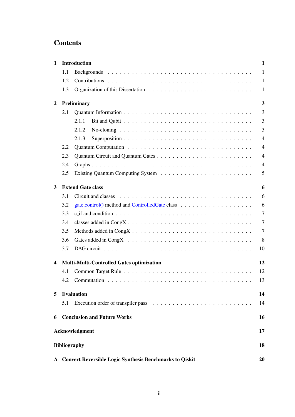## Contents

| $\mathbf{1}$            |     | <b>Introduction</b>                                                                                 | $\mathbf{1}$   |
|-------------------------|-----|-----------------------------------------------------------------------------------------------------|----------------|
|                         | 1.1 |                                                                                                     | $\mathbf{1}$   |
|                         | 1.2 |                                                                                                     | $\mathbf{1}$   |
|                         | 1.3 |                                                                                                     | $\mathbf{1}$   |
| $\overline{2}$          |     | Preliminary                                                                                         | 3              |
|                         | 2.1 |                                                                                                     | $\overline{3}$ |
|                         |     | 2.1.1                                                                                               | 3              |
|                         |     | 2.1.2                                                                                               | 3              |
|                         |     | 2.1.3                                                                                               | $\overline{4}$ |
|                         | 2.2 |                                                                                                     | $\overline{4}$ |
|                         | 2.3 |                                                                                                     | $\overline{4}$ |
|                         | 2.4 |                                                                                                     | $\overline{4}$ |
|                         | 2.5 |                                                                                                     | 5              |
| 3                       |     | <b>Extend Gate class</b>                                                                            | 6              |
|                         | 3.1 |                                                                                                     | 6              |
|                         | 3.2 |                                                                                                     | 6              |
|                         | 3.3 | $c$ if and condition $\ldots \ldots \ldots \ldots \ldots \ldots \ldots \ldots \ldots \ldots \ldots$ | $\overline{7}$ |
|                         | 3.4 |                                                                                                     | $\overline{7}$ |
|                         | 3.5 |                                                                                                     | $\overline{7}$ |
|                         | 3.6 |                                                                                                     | 8              |
|                         | 3.7 |                                                                                                     | 10             |
| $\overline{\mathbf{4}}$ |     | <b>Multi-Multi-Controlled Gates optimization</b>                                                    | 12             |
|                         | 4.1 |                                                                                                     | 12             |
|                         |     | 4.2 Commutation                                                                                     | 13             |
| 5                       |     | <b>Evaluation</b>                                                                                   | 14             |
|                         | 5.1 |                                                                                                     | 14             |
| 6                       |     | <b>Conclusion and Future Works</b>                                                                  | 16             |
|                         |     | Acknowledgment                                                                                      | 17             |
|                         |     | <b>Bibliography</b>                                                                                 | 18             |
|                         |     | A Convert Reversible Logic Synthesis Benchmarks to Qiskit                                           | 20             |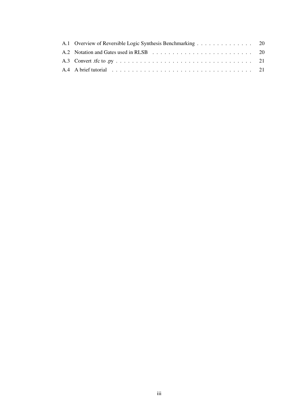| A.1 Overview of Reversible Logic Synthesis Benchmarking 20 |  |
|------------------------------------------------------------|--|
|                                                            |  |
|                                                            |  |
|                                                            |  |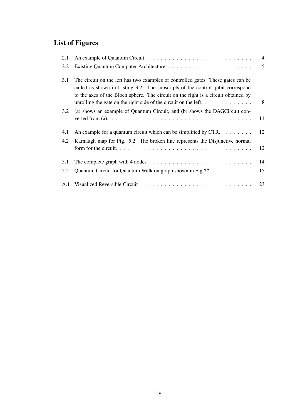# List of Figures

| 2.1 |                                                                                                                                                                                                                                                          | $\overline{4}$ |
|-----|----------------------------------------------------------------------------------------------------------------------------------------------------------------------------------------------------------------------------------------------------------|----------------|
| 2.2 |                                                                                                                                                                                                                                                          | 5              |
| 3.1 | The circuit on the left has two examples of controlled gates. These gates can be<br>called as shown in Listing 3.2. The subscripts of the control qubit correspond<br>to the axes of the Bloch sphere. The circuit on the right is a circuit obtained by | 8              |
| 3.2 | (a) shows an example of Quantum Circuit, and (b) shows the DAGCircuit con-                                                                                                                                                                               | 11             |
| 4.1 | An example for a quantum circuit which can be simplified by CTR. $\dots$                                                                                                                                                                                 | 12             |
| 4.2 | Karnaugh map for Fig. 5.2. The broken line represents the Disjunctive normal                                                                                                                                                                             | 12             |
| 5.1 |                                                                                                                                                                                                                                                          | 14             |
| 5.2 | Quantum Circuit for Quantum Walk on graph shown in Fig. ??                                                                                                                                                                                               | 15             |
|     |                                                                                                                                                                                                                                                          | 23             |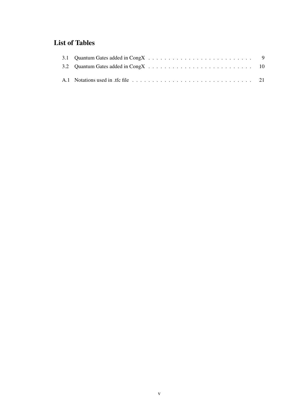# List of Tables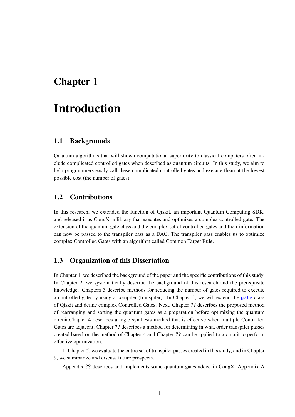# Introduction

#### 1.1 Backgrounds

Quantum algorithms that will shown computational superiority to classical computers often include complicated controlled gates when described as quantum circuits. In this study, we aim to help programmers easily call these complicated controlled gates and execute them at the lowest possible cost (the number of gates).

#### 1.2 Contributions

In this research, we extended the function of Qiskit, an important Quantum Computing SDK, and released it as CongX, a library that executes and optimizes a complex controlled gate. The extension of the quantum gate class and the complex set of controlled gates and their information can now be passed to the transpiler pass as a DAG. The transpiler pass enables us to optimize complex Controlled Gates with an algorithm called Common Target Rule.

#### 1.3 Organization of this Dissertation

In Chapter 1, we described the background of the paper and the specific contributions of this study. In Chapter 2, we systematically describe the background of this research and the prerequisite knowledge. Chapters 3 describe methods for reducing the number of gates required to execute a controlled gate by using a compiler (transpiler). In Chapter 3, we will extend the gate class of Qiskit and define complex Controlled Gates. Next, Chapter ?? describes the proposed method of rearranging and sorting the quantum gates as a preparation before optimizing the quantum circuit.Chapter 4 describes a logic synthesis method that is effective when multiple Controlled Gates are adjacent. Chapter ?? describes a method for determining in what order transpiler passes created based on the method of Chapter 4 and Chapter ?? can be applied to a circuit to perform effective optimization.

In Chapter 5, we evaluate the entire set of transpiler passes created in this study, and in Chapter 9, we summarize and discuss future prospects.

Appendix ?? describes and implements some quantum gates added in CongX. Appendix A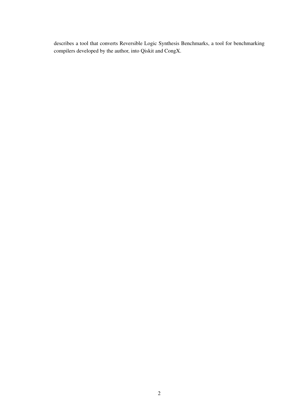describes a tool that converts Reversible Logic Synthesis Benchmarks, a tool for benchmarking compilers developed by the author, into Qiskit and CongX.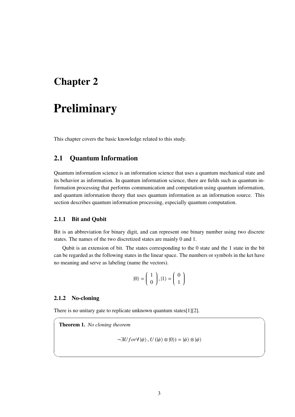# **Preliminary**

This chapter covers the basic knowledge related to this study.

### 2.1 Quantum Information

Quantum information science is an information science that uses a quantum mechanical state and its behavior as information. In quantum information science, there are fields such as quantum information processing that performs communication and computation using quantum information, and quantum information theory that uses quantum information as an information source. This section describes quantum information processing, especially quantum computation.

#### 2.1.1 Bit and Qubit

Bit is an abbreviation for binary digit, and can represent one binary number using two discrete states. The names of the two discretized states are mainly 0 and 1.

Qubit is an extension of bit. The states corresponding to the 0 state and the 1 state in the bit can be regarded as the following states in the linear space. The numbers or symbols in the ket have no meaning and serve as labeling (name the vectors).

$$
|0\rangle = \left(\begin{array}{c} 1\\0 \end{array}\right), |1\rangle = \left(\begin{array}{c} 0\\1 \end{array}\right)
$$

#### 2.1.2 No-cloning

There is no unitary gate to replicate unknown quantum states[1][2].

Theorem 1. *No cloning theorem*

$$
\neg\exists U for \forall \ket{\psi}, U(\ket{\psi} \otimes \ket{0}) = \ket{\psi} \otimes \ket{\psi}
$$

 $\sqrt{2\pi}$ 

✒ ✑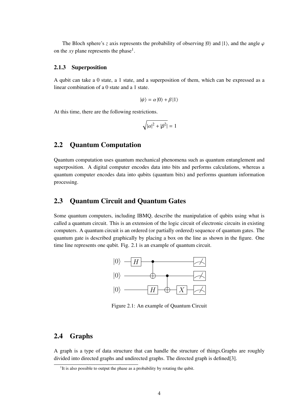The Bloch sphere's *z* axis represents the probability of observing  $|0\rangle$  and  $|1\rangle$ , and the angle  $\varphi$ on the  $xy$  plane represents the phase<sup>1</sup>.

#### 2.1.3 Superposition

A qubit can take a 0 state, a 1 state, and a superposition of them, which can be expressed as a linear combination of a 0 state and a 1 state.

$$
|\psi\rangle = \alpha |0\rangle + \beta |1\rangle
$$

At this time, there are the following restrictions.

$$
\sqrt{|\alpha|^2 + |\beta^2|} = 1
$$

### 2.2 Quantum Computation

Quantum computation uses quantum mechanical phenomena such as quantum entanglement and superposition. A digital computer encodes data into bits and performs calculations, whereas a quantum computer encodes data into qubits (quantum bits) and performs quantum information processing.

## 2.3 Quantum Circuit and Quantum Gates

Some quantum computers, including IBMQ, describe the manipulation of qubits using what is called a quantum circuit. This is an extension of the logic circuit of electronic circuits in existing computers. A quantum circuit is an ordered (or partially ordered) sequence of quantum gates. The quantum gate is described graphically by placing a box on the line as shown in the figure. One time line represents one qubit. Fig. 2.1 is an example of quantum circuit.



Figure 2.1: An example of Quantum Circuit

### 2.4 Graphs

A graph is a type of data structure that can handle the structure of things.Graphs are roughly divided into directed graphs and undirected graphs. The directed graph is defined[3].

<sup>&</sup>lt;sup>1</sup>It is also possible to output the phase as a probability by rotating the qubit.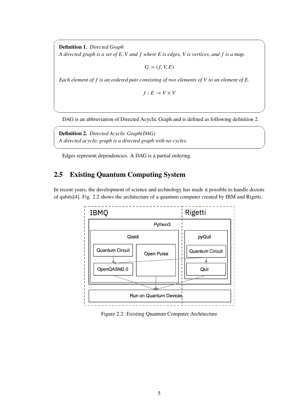Definition 1. *Directed Graph A directed graph is a set of E*, *V and f where E is edges, V is vertices, and f is a map.*

 $G \coloneqq (f, V, E)$ 

 $\sqrt{2\pi}$ 

*Each element of f is an ordered pair consisting of two elements of V to an element of E.*

 $f: E \to V \times V$ 

DAG is an abbreviation of Directed Acyclic Graph and is defined as following definition 2.

✒ ✑

 $\sqrt{2\pi}$ 

✒ ✑

Definition 2. *Directed Acyclic Graph(DAG) A directed acyclic graph is a directed graph with no cycles.*

Edges represent dependencies. A DAG is a partial ordering.

## 2.5 Existing Quantum Computing System

In recent years, the development of science and technology has made it possible to handle dozens of qubits[4]. Fig. 2.2 shows the architecture of a quantum computer created by IBM and Rigetti.



Figure 2.2: Existing Quantum Computer Architecture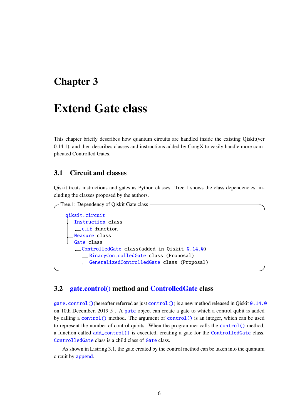# Extend Gate class

This chapter briefly describes how quantum circuits are handled inside the existing Qiskit(ver 0.14.1), and then describes classes and instructions added by CongX to easily handle more complicated Controlled Gates.

## 3.1 Circuit and classes

Qiskit treats instructions and gates as Python classes. Tree.1 shows the class dependencies, including the classes proposed by the authors.



#### 3.2 gate.control() method and ControlledGate class

gate.control()(hereafter referred as just control()) is a new method released in Qiskit 0.14.0 on 10th December, 2019[5]. A gate object can create a gate to which a control qubit is added by calling a control() method. The argument of control() is an integer, which can be used to represent the number of control qubits. When the programmer calls the control() method, a function called add\_control() is executed, creating a gate for the ControlledGate class. ControlledGate class is a child class of Gate class.

As shown in Listring 3.1, the gate created by the control method can be taken into the quantum circuit by append.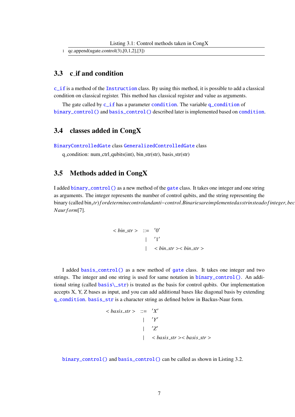1 qc.append(ugate.control(3),[0,1,2],[3])

## 3.3 c if and condition

c\_if is a method of the Instruction class. By using this method, it is possible to add a classical condition on classical register. This method has classical register and value as arguments.

The gate called by c\_if has a parameter condition. The variable q\_condition of binary\_control() and basis\_control() described later is implemented based on condition.

#### 3.4 classes added in CongX

BinaryControlledGate class GeneralizedControlledGate class

 $q$ -condition: num-ctrl-qubits(int), bin-str(str), basis-str(str)

## 3.5 Methods added in CongX

I added binary\_control() as a new method of the gate class. It takes one integer and one string as arguments. The integer represents the number of control qubits, and the string representing the binary (called bin<sub>s</sub>tr) fordeterminecontrolandanti-control. Binariesareimplementedasstrinsteado finteger, bec *Naur f orm*[7].

$$
\langle \sin_3 str \rangle ::= '0'
$$
  
|- '1'  
 
$$
| \quad \langle \sin_3 tr \rangle < \sin_3 tr \rangle
$$

I added basis\_control() as a new method of gate class. It takes one integer and two strings. The integer and one string is used for same notation in binary\_control(). An additional string (called basis $\text{str}$ ) is treated as the basis for control qubits. Our implementation accepts X, Y, Z bases as input, and you can add additional bases like diagonal basis by extending q\_condition. basis\_str is a character string as defined below in Backus-Naur form.

$$
\langle basis\_str \rangle ::= 'X'
$$
  
|- 'Y'  
|- 'Z'  
|- 
$$
\langle basis\_str \rangle \langle basis\_str \rangle
$$

binary\_control() and basis\_control() can be called as shown in Listing 3.2.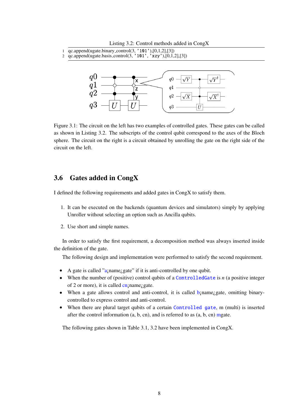Listing 3.2: Control methods added in CongX

- 1 qc.append(ugate.binary control(3, '101'),[0,1,2],[3])
- 2 qc.append(ugate.basis control(3, '101', 'xzy'),[0,1,2],[3])



Figure 3.1: The circuit on the left has two examples of controlled gates. These gates can be called as shown in Listing 3.2. The subscripts of the control qubit correspond to the axes of the Bloch sphere. The circuit on the right is a circuit obtained by unrolling the gate on the right side of the circuit on the left.

## 3.6 Gates added in CongX

I defined the following requirements and added gates in CongX to satisfy them.

- 1. It can be executed on the backends (quantum devices and simulators) simply by applying Unroller without selecting an option such as Ancilla qubits.
- 2. Use short and simple names.

In order to satisfy the first requirement, a decomposition method was always inserted inside the definition of the gate.

The following design and implementation were performed to satisfy the second requirement.

- A gate is called "a<sub>i</sub>name<sub>i</sub> gate" if it is anti-controlled by one qubit.
- When the number of (positive) control qubits of a **ControlledGate** is *n* (a positive integer of 2 or more), it is called cn; name; gate.
- When a gate allows control and anti-control, it is called b; name; gate, omitting binarycontrolled to express control and anti-control.
- When there are plural target qubits of a certain Controlled gate, m (multi) is inserted after the control information  $(a, b, cn)$ , and is referred to as  $(a, b, cn)$  mgate.

The following gates shown in Table 3.1, 3.2 have been implemented in CongX.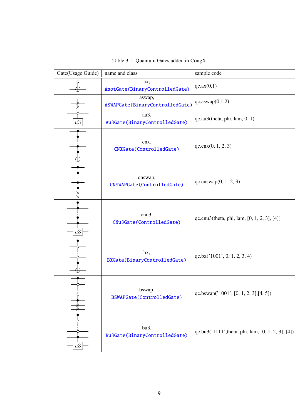| Gate(Usage Guide) |    | name and class                            | sample code                                        |
|-------------------|----|-------------------------------------------|----------------------------------------------------|
|                   |    | ax,<br>AnotGate(BinaryControlledGate)     | qc.ax(0,1)                                         |
|                   |    | aswap,<br>ASWAPGate(BinaryControlledGate) | $qc$ .aswap $(0,1,2)$                              |
|                   | u3 | au3,<br>Au3Gate(BinaryControlledGate)     | $qc$ .au3(theta, phi, lam, $0, 1$ )                |
|                   |    | cnx,<br>CNXGate(ControlledGate)           | qc cnx(0, 1, 2, 3)                                 |
|                   |    | cnswap,<br>CNSWAPGate(ControlledGate)     | qc.cnswap(0, 1, 2, 3)                              |
|                   | u3 | cnu3,<br>CNu3Gate(ControlledGate)         | qc.cnu3(theta, phi, lam, [0, 1, 2, 3], [4])        |
|                   |    | bx,<br>BXGate(BinaryControlledGate)       | qc.bx('1001', 0, 1, 2, 3, 4)                       |
|                   |    | bswap,<br>BSWAPGate(ControlledGate)       | qc.bswap('1001', [0, 1, 2, 3],[4, 5])              |
|                   | u3 | bu3,<br>Bu3Gate(BinaryControlledGate)     | qc.bu3('1111', theta, phi, lam, [0, 1, 2, 3], [4]) |

Table 3.1: Quantum Gates added in CongX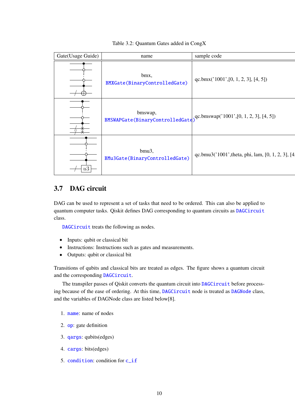|  | Gate(Usage Guide) | name                                        | sample code                                        |
|--|-------------------|---------------------------------------------|----------------------------------------------------|
|  |                   | bmx,<br>BMXGate(BinaryControlledGate)       | qc.bmx( $'1001'$ , [0, 1, 2, 3], [4, 5])           |
|  |                   | bmswap,<br>BMSWAPGate(BinaryControlledGate) | $qc.bmswap('1001',[0, 1, 2, 3], [4, 5])$           |
|  | u3                | bmu3,<br>BMu3Gate(BinaryControlledGate)     | qc.bmu3('1001', theta, phi, lam, [0, 1, 2, 3], [4] |

#### Table 3.2: Quantum Gates added in CongX

## 3.7 DAG circuit

DAG can be used to represent a set of tasks that need to be ordered. This can also be applied to quantum computer tasks. Qiskit defines DAG corresponding to quantum circuits as DAGCircuit class.

DAGCircuit treats the following as nodes.

- Inputs: qubit or classical bit
- Instructions: Instructions such as gates and measurements.
- Outputs: qubit or classical bit

Transitions of qubits and classical bits are treated as edges. The figure shows a quantum circuit and the corresponding DAGCircuit.

The transpiler passes of Qiskit converts the quantum circuit into DAGCircuit before processing because of the ease of ordering. At this time, DAGCircuit node is treated as DAGNode class, and the variables of DAGNode class are listed below[8].

- 1. name: name of nodes
- 2. op: gate definition
- 3. qargs: qubits(edges)
- 4. cargs: bits(edges)
- 5. condition: condition for c\_if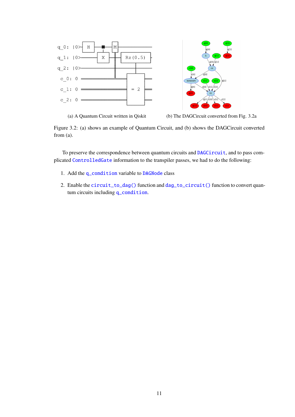



(a) A Quantum Circuit written in Qiskit (b) The DAGCircuit converted from Fig. 3.2a

Figure 3.2: (a) shows an example of Quantum Circuit, and (b) shows the DAGCircuit converted from (a).

To preserve the correspondence between quantum circuits and **DAGCircuit**, and to pass complicated ControlledGate information to the transpiler passes, we had to do the following:

- 1. Add the q\_condition variable to DAGNode class
- 2. Enable the circuit\_to\_dag() function and dag\_to\_circuit() function to convert quantum circuits including q\_condition.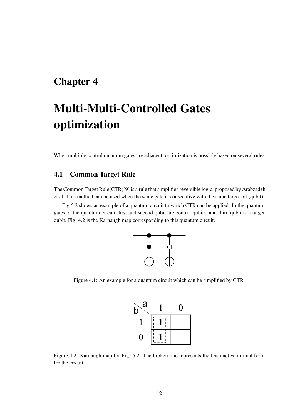# Multi-Multi-Controlled Gates optimization

When multiple control quantum gates are adjacent, optimization is possible based on several rules

## 4.1 Common Target Rule

The Common Target Rule(CTR)[9] is a rule that simplifies reversible logic, proposed by Arabzadeh et al. This method can be used when the same gate is consecutive with the same target bit (qubit).

Fig.5.2 shows an example of a quantum circuit to which CTR can be applied. In the quantum gates of the quantum circuit, first and second qubit are control qubits, and third qubit is a target qubit. Fig. 4.2 is the Karnaugh map corresponding to this quantum circuit.



Figure 4.1: An example for a quantum circuit which can be simplified by CTR.



Figure 4.2: Karnaugh map for Fig. 5.2. The broken line represents the Disjunctive normal form for the circuit.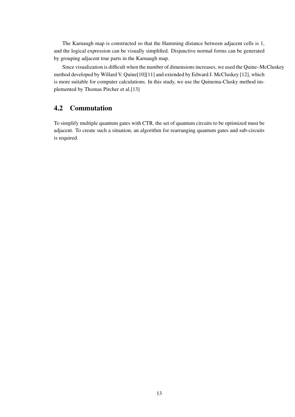The Karnaugh map is constructed so that the Hamming distance between adjacent cells is 1, and the logical expression can be visually simplified. Disjunctive normal forms can be generated by grouping adjacent true parts in the Karnaugh map.

Since visualization is difficult when the number of dimensions increases, we used the Quine–McCluskey method developed by Willard V. Quine[10][11] and extended by Edward J. McCluskey [12], which is more suitable for computer calculations. In this study, we use the Quinema-Clusky method implemented by Thomas Pircher et al.[13]

## 4.2 Commutation

To simplify multiple quantum gates with CTR, the set of quantum circuits to be optimized must be adjacent. To create such a situation, an algorithm for rearranging quantum gates and sub-circuits is required.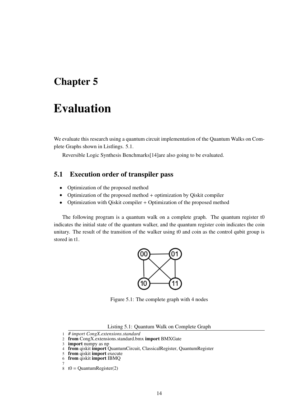# Evaluation

We evaluate this research using a quantum circuit implementation of the Quantum Walks on Complete Graphs shown in Listlings. 5.1.

Reversible Logic Synthesis Benchmarks[14]are also going to be evaluated.

## 5.1 Execution order of transpiler pass

- Optimization of the proposed method
- Optimization of the proposed method + optimization by Qiskit compiler
- Optimization with Qiskit compiler + Optimization of the proposed method

The following program is a quantum walk on a complete graph. The quantum register t0 indicates the initial state of the quantum walker, and the quantum register coin indicates the coin unitary. The result of the transition of the walker using t0 and coin as the control qubit group is stored in t1.



Figure 5.1: The complete graph with 4 nodes

Listing 5.1: Quantum Walk on Complete Graph

<sup>1</sup> *# import CongX.extensions.standard*

<sup>2</sup> from CongX.extensions.standard.bmx import BMXGate

<sup>3</sup> import numpy as np

<sup>4</sup> from qiskit import QuantumCircuit, ClassicalRegister, QuantumRegister

<sup>5</sup> from qiskit import execute

<sup>6</sup> from qiskit import IBMQ

<sup>7</sup>

 $8 \text{ t0} = \text{Quantum Register}(2)$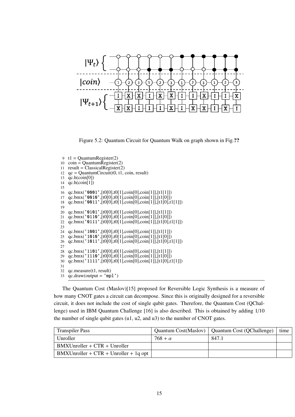

Figure 5.2: Quantum Circuit for Quantum Walk on graph shown in Fig.??

```
9 t1 =QuantumRegister(2)<br>10 \text{coin} =QuantumRegister(
   \text{coin} = \text{Quantum}Register(2)
11 result = Classical Register(2)12 qc = QuantumCircuit(t0, t1, coin, result)13 \text{ qc.h}(\text{coin}[0])14 qc.h(coin[1])
15
16 qc.bmx('0001',[t0[0],t0[1],coin[0],coin[1]],[t1[1]])
17 qc.bmx('0010',[t0[0],t0[1],coin[0],coin[1]],[t1[0]])
18 qc.bmx('0011',[t0[0],t0[1],coin[0],coin[1]],[t1[0],t1[1]])
19
20 qc.bmx('0101',[t0[0],t0[1],coin[0],coin[1]],[t1[1]])
21 qc.bmx('0110',[t0[0],t0[1],coin[0],coin[1]],[t1[0]])
22 qc.bmx('0111',[t0[0],t0[1],coin[0],coin[1]],[t1[0],t1[1]])
23
24 qc.bmx('1001',[t0[0],t0[1],coin[0],coin[1]],[t1[1]])
25 qc.bmx('1010',[t0[0],t0[1],coin[0],coin[1]],[t1[0]])
26 qc.bmx('1011',[t0[0],t0[1],coin[0],coin[1]],[t1[0],t1[1]])
27
28 qc.bmx('1101',[t0[0],t0[1],coin[0],coin[1]],[t1[1]])
29 qc.bmx('1110',[t0[0],t0[1],coin[0],coin[1]],[t1[0]])
30 qc.bmx('1111',[t0[0],t0[1],coin[0],coin[1]],[t1[0],t1[1]])
31
32 qc.measure(t1, result)
33 qc<mark>t.draw(output = 'mpl')</mark>
```
The Quantum Cost (Maslov)[15] proposed for Reversible Logic Synthesis is a measure of how many CNOT gates a circuit can decompose. Since this is originally designed for a reversible circuit, it does not include the cost of single qubit gates. Therefore, the Quantum Cost (QChallenge) used in IBM Quantum Challenge [16] is also described. This is obtained by adding 1/10 the number of single qubit gates (u1, u2, and u3) to the number of CNOT gates.

| <b>Transpiler Pass</b>                  |                | Quantum Cost(Maslov)   Quantum Cost (QChallenge) | time |
|-----------------------------------------|----------------|--------------------------------------------------|------|
| Unroller                                | $768 + \alpha$ | 847.1                                            |      |
| $BMXUnroller + CTR + Unroller$          |                |                                                  |      |
| $BMXUnroller + CTR + Unroller + 1q opt$ |                |                                                  |      |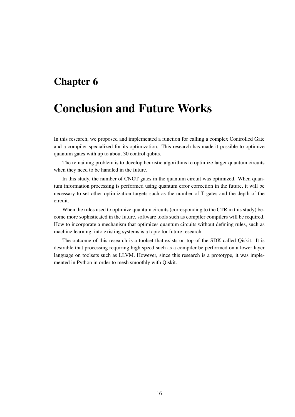# Conclusion and Future Works

In this research, we proposed and implemented a function for calling a complex Controlled Gate and a compiler specialized for its optimization. This research has made it possible to optimize quantum gates with up to about 30 control qubits.

The remaining problem is to develop heuristic algorithms to optimize larger quantum circuits when they need to be handled in the future.

In this study, the number of CNOT gates in the quantum circuit was optimized. When quantum information processing is performed using quantum error correction in the future, it will be necessary to set other optimization targets such as the number of T gates and the depth of the circuit.

When the rules used to optimize quantum circuits (corresponding to the CTR in this study) become more sophisticated in the future, software tools such as compiler compilers will be required. How to incorporate a mechanism that optimizes quantum circuits without defining rules, such as machine learning, into existing systems is a topic for future research.

The outcome of this research is a toolset that exists on top of the SDK called Qiskit. It is desirable that processing requiring high speed such as a compiler be performed on a lower layer language on toolsets such as LLVM. However, since this research is a prototype, it was implemented in Python in order to mesh smoothly with Qiskit.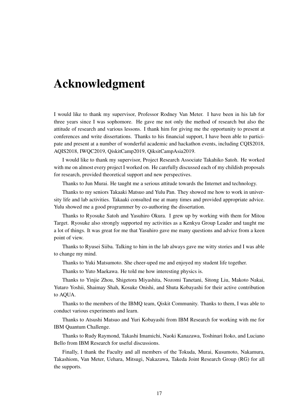# Acknowledgment

I would like to thank my supervisor, Professor Rodney Van Meter. I have been in his lab for three years since I was sophomore. He gave me not only the method of research but also the attitude of research and various lessons. I thank him for giving me the opportunity to present at conferences and write dissertations. Thanks to his financial support, I have been able to participate and present at a number of wonderful academic and hackathon events, including CQIS2018, AQIS2018, IWQC2019, QiskitCamp2019, QiksitCampAsia2019.

I would like to thank my supervisor, Project Research Associate Takahiko Satoh. He worked with me on almost every project I worked on. He carefully discussed each of my childish proposals for research, provided theoretical support and new perspectives.

Thanks to Jun Murai. He taught me a serious attitude towards the Internet and technology.

Thanks to my seniors Takaaki Matsuo and Yulu Pan. They showed me how to work in university life and lab activities. Takaaki consulted me at many times and provided appropriate advice. Yulu showed me a good programmer by co-authoring the dissertation.

Thanks to Ryosuke Satoh and Yasuhiro Okura. I grew up by working with them for Mitou Target. Ryosuke also strongly supported my activities as a Kenkyu Group Leader and taught me a lot of things. It was great for me that Yasuhiro gave me many questions and advice from a keen point of view.

Thanks to Ryusei Siiba. Talking to him in the lab always gave me witty stories and I was able to change my mind.

Thanks to Yuki Matsumoto. She cheer-uped me and enjoyed my student life together.

Thanks to Yuto Maekawa. He told me how interesting physics is.

Thanks to Yinjie Zhou, Shigetora Miyashita, Nozomi Tanetani, Sitong Liu, Makoto Nakai, Yutaro Yoshii, Shaimay Shah, Kosuke Onishi, and Shuta Kobayashi for their active contribution to AQUA.

Thanks to the members of the IBMQ team, Qiskit Community. Thanks to them, I was able to conduct various experiments and learn.

Thanks to Atsushi Matsuo and Yuri Kobayashi from IBM Research for working with me for IBM Quantum Challenge.

Thanks to Rudy Raymond, Takashi Imamichi, Naoki Kanazawa, Toshinari Itoko, and Luciano Bello from IBM Research for useful discussions.

Finally, I thank the Faculty and all members of the Tokuda, Murai, Kusumoto, Nakamura, Takashiom, Van Meter, Uehara, Mitsugi, Nakazawa, Takeda Joint Research Group (RG) for all the supports.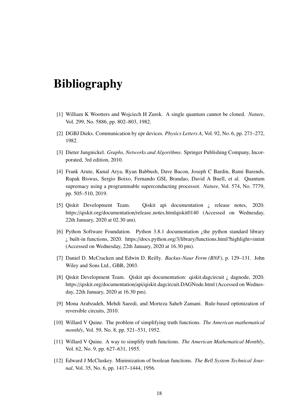# Bibliography

- [1] William K Wootters and Wojciech H Zurek. A single quantum cannot be cloned. *Nature*, Vol. 299, No. 5886, pp. 802–803, 1982.
- [2] DGBJ Dieks. Communication by epr devices. *Physics Letters A*, Vol. 92, No. 6, pp. 271–272, 1982.
- [3] Dieter Jungnickel. *Graphs, Networks and Algorithms*. Springer Publishing Company, Incorporated, 3rd edition, 2010.
- [4] Frank Arute, Kunal Arya, Ryan Babbush, Dave Bacon, Joseph C Bardin, Rami Barends, Rupak Biswas, Sergio Boixo, Fernando GSL Brandao, David A Buell, et al. Quantum supremacy using a programmable superconducting processor. *Nature*, Vol. 574, No. 7779, pp. 505–510, 2019.
- [5] Qiskit Development Team. Qiskit api documentation ¿ release notes, 2020. https://qiskit.org/documentation/release notes.htmlqiskit0140 (Accessed on Wednesday, 22th January, 2020 at 02.30 am).
- [6] Python Software Foundation. Python 3.8.1 documentation ¿the python standard library ¿ built-in functions, 2020. https://docs.python.org/3/library/functions.html?highlight=intint (Accessed on Wednesday, 22th January, 2020 at 16.30 pm).
- [7] Daniel D. McCracken and Edwin D. Reilly. *Backus-Naur Form (BNF)*, p. 129–131. John Wiley and Sons Ltd., GBR, 2003.
- [8] Qiskit Development Team. Qiskit api documentation: qiskit.dagcircuit ¿ dagnode, 2020. https://qiskit.org/documentation/api/qiskit.dagcircuit.DAGNode.html (Accessed on Wednesday, 22th January, 2020 at 16.30 pm).
- [9] Mona Arabzadeh, Mehdi Saeedi, and Morteza Saheb Zamani. Rule-based optimization of reversible circuits, 2010.
- [10] Willard V Quine. The problem of simplifying truth functions. *The American mathematical monthly*, Vol. 59, No. 8, pp. 521–531, 1952.
- [11] Willard V Quine. A way to simplify truth functions. *The American Mathematical Monthly*, Vol. 62, No. 9, pp. 627–631, 1955.
- [12] Edward J McCluskey. Minimization of boolean functions. *The Bell System Technical Journal*, Vol. 35, No. 6, pp. 1417–1444, 1956.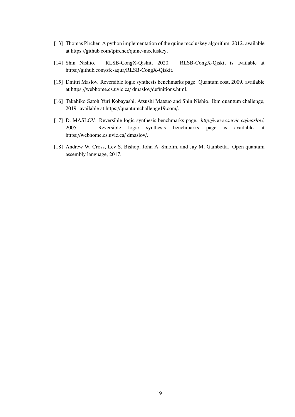- [13] Thomas Pircher. A python implementation of the quine mccluskey algorithm, 2012. available at https://github.com/tpircher/quine-mccluskey.
- [14] Shin Nishio. RLSB-CongX-Qiskit, 2020. RLSB-CongX-Qiskit is available at https://github.com/sfc-aqua/RLSB-CongX-Qiskit.
- [15] Dmitri Maslov. Reversible logic synthesis benchmarks page: Quantum cost, 2009. available at https://webhome.cs.uvic.ca/ dmaslov/definitions.html.
- [16] Takahiko Satoh Yuri Kobayashi, Atsushi Matsuo and Shin Nishio. Ibm quantum challenge, 2019. available at https://quantumchallenge19.com/.
- [17] D. MASLOV. Reversible logic synthesis benchmarks page. *http:*//*www.cs.uvic.ca*/*maslov*/, 2005. Reversible logic synthesis benchmarks page is available at https://webhome.cs.uvic.ca/ dmaslov/.
- [18] Andrew W. Cross, Lev S. Bishop, John A. Smolin, and Jay M. Gambetta. Open quantum assembly language, 2017.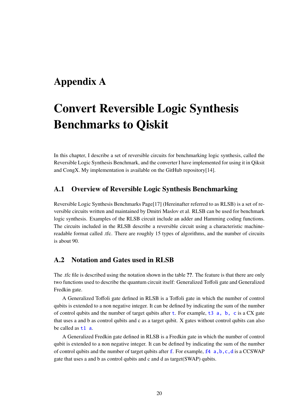# Appendix A

# Convert Reversible Logic Synthesis Benchmarks to Qiskit

In this chapter, I describe a set of reversible circuits for benchmarking logic synthesis, called the Reversible Logic Synthesis Benchmark, and the converter I have implemented for using it in Qiksit and CongX. My implementation is available on the GitHub repository[14].

### A.1 Overview of Reversible Logic Synthesis Benchmarking

Reversible Logic Synthesis Benchmarks Page[17] (Hereinafter referred to as RLSB) is a set of reversible circuits written and maintained by Dmitri Maslov et al. RLSB can be used for benchmark logic synthesis. Examples of the RLSB circuit include an adder and Hamming coding functions. The circuits included in the RLSB describe a reversible circuit using a characteristic machinereadable format called .tfc. There are roughly 15 types of algorithms, and the number of circuits is about 90.

## A.2 Notation and Gates used in RLSB

The .tfc file is described using the notation shown in the table ??. The feature is that there are only two functions used to describe the quantum circuit itself: Generalized Toffoli gate and Generalized Fredkin gate.

A Generalized Toffoli gate defined in RLSB is a Toffoli gate in which the number of control qubits is extended to a non negative integer. It can be defined by indicating the sum of the number of control qubits and the number of target qubits after  $t$ . For example,  $t3$  a, b, c is a CX gate that uses a and b as control qubits and c as a target qubit. X gates without control qubits can also be called as  $t1$  a.

A Generalized Fredkin gate defined in RLSB is a Fredkin gate in which the number of control qubit is extended to a non negative integer. It can be defined by indicating the sum of the number of control qubits and the number of target qubits after  $f$ . For example,  $f_4$  a,b,c,d is a CCSWAP gate that uses a and b as control qubits and c and d as target(SWAP) qubits.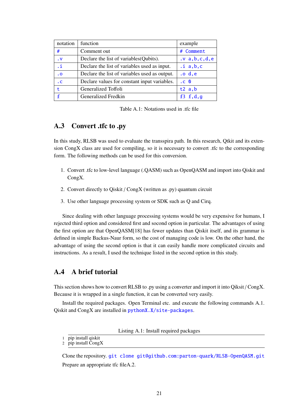| notation  | function                                      | example    |  |  |
|-----------|-----------------------------------------------|------------|--|--|
| #         | Comment out                                   | # Comment  |  |  |
| $\cdot$ V | Declare the list of variables (Qubits).       |            |  |  |
| .i        | Declare the list of variables used as input.  |            |  |  |
| $\cdot$ O | Declare the list of variables used as output. | .o.d.e     |  |  |
| $\cdot$ C | Declare values for constant input variables.  | $.C. 0$    |  |  |
| t         | Generalized Toffoli                           | $t2$ a, b  |  |  |
| f         | Generalized Fredkin                           | $f3$ f,d,g |  |  |

Table A.1: Notations used in .tfc file

## A.3 Convert .tfc to .py

In this study, RLSB was used to evaluate the transspira path. In this research, Qtkit and its extension CongX class are used for compiling, so it is necessary to convert .tfc to the corresponding form. The following methods can be used for this conversion.

- 1. Convert .tfc to low-level language (.QASM) such as OpenQASM and import into Qiskit and CongX.
- 2. Convert directly to Qiskit / CongX (written as .py) quantum circuit
- 3. Use other language processing system or SDK such as Q and Cirq.

Since dealing with other language processing systems would be very expensive for humans, I rejected third option and considered first and socond option in particular. The advantages of using the first option are that OpenQASM[18] has fewer updates than Qiskit itself, and its grammar is defined in simple Backus-Naur form, so the cost of managing code is low. On the other hand, the advantage of using the second option is that it can easily handle more complicated circuits and instructions. As a result, I used the technique listed in the second option in this study.

## A.4 A brief tutorial

This section shows how to convert RLSB to .py using a converter and import it into Qiksit / CongX. Because it is wrapped in a single function, it can be converted very easily.

Install the required packages. Open Terminal etc. and execute the following commands A.1. Qiskit and CongX are installed in pythonX.X/site-packages.

Listing A.1: Install required packages

Clone the repository. git clone git@github.com:parton-quark/RLSB-OpenQASM.git Prepare an appropriate tfc fileA.2.

<sup>1</sup> pip install qiskit

<sup>2</sup> pip install CongX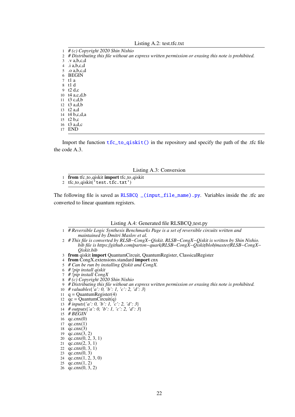|  |  |  |  |  | Listing A.2: test.tfc.txt |
|--|--|--|--|--|---------------------------|
|--|--|--|--|--|---------------------------|

- 1 *# (c) Copyright 2020 Shin Nishio*
- 2 *# Distributing this file without an express written permission or erasing this note is prohibited.*

3 .v a,b,c,d

4 .i a,b,c,d

5 .o a,b,c,d

6 BEGIN<br> $\frac{7}{7}$  t1 a

- t1 a
- 8 t1 d
- 9 t2 d,c 10 t4 a,c,d,b
- 11 t3 c,d,b
- 12 t3 a,d,b
- 13 t2 a,d
- 14 t4 b,c,d,a
- 15 t2 b,c
- 
- 16 t3 a,d,c<br>17 END END

Import the function  $tfc_to_qiskit()$  in the repository and specify the path of the .tfc file the code A.3.

- Listing A.3: Conversion
- 1 from tfc\_to\_qiskit import tfc\_to\_qiskit
- 2 tfc\_to\_qiskit('test.tfc.txt')

The following file is saved as RLSBCQ \_(input\_file\_name).py. Variables inside the .tfc are converted to linear quantum registers.

#### Listing A.4: Generated file RLSBCQ\_test.py

- 1 *# Reversible Logic Synthesis Benchmarks Page is a set of reversible circuits written and maintained by Dmitri Maslov et al.*
- 2 *# This file is converted by RLSB*−*CongX*−*Qiskit. RLSB*−*CongX*−*Qiskit is written by Shin Nishio. bib file is https:*//*github.com*/*parton*−*quark*/*RLSB*−*CongX*−*Qiskit*/*blob*/*master*/*RLSB*−*CongX*− *Qiskit.bib*
- 3 from qiskit import QuantumCircuit, QuantumRegister, ClassicalRegister
- 4 from CongX.extensions.standard import cnx
- 5 *# Can be run by installing Qiskit and CongX.*
- 6 *# !pip install qiskit*
- 7 *# !pip install CongX*
- 8 *# (c) Copyright 2020 Shin Nishio*
- 9 *# Distributing this file without an express written permission or erasing this note is prohibited.*
- 10 *# valuables*{*'a': 0, 'b': 1, 'c': 2, 'd': 3*}
- 11  $q =$ QuantumRegister(4)
- 12  $qc = QuantumCircuit(q)$
- 13 *# inputs*{*'a': 0, 'b': 1, 'c': 2, 'd': 3*}
- 14 *# outputs*{*'a': 0, 'b': 1, 'c': 2, 'd': 3*}
- 15 *# BEGIN*
- 16  $qc cnx(0)$
- $17 \quad \text{qc.cnx}(1)$
- 18  $qc.cnx(3)$ <br>19  $qc.cnx(3)$
- $qc.cnx(3, 2)$
- 20 qc.cnx(0, 2, 3, 1)
- 21  $qc.cnx(2, 3, 1)$
- 22  $qc cnx(0, 3, 1)$
- 23 qc.cnx(0, 3)
- 24 qc.cnx(1, 2, 3, 0)
- 25 qc.cnx(1, 2)
- 26 qc.cnx(0, 3, 2)